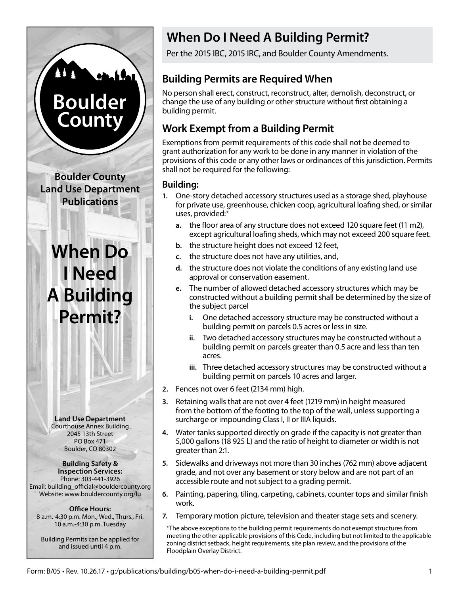# **Boulder** County

**Boulder County Land Use Department Publications**

# **When Do I Need A Building Permit?**

**Land Use Department** Courthouse Annex Building 2045 13th Street PO Box 471 Boulder, CO 80302

**Building Safety & Inspection Services:** Phone: 303-441-3926 Email: building\_official@bouldercounty.org Website: www.bouldercounty.org/lu

**Office Hours:** 8 a.m.-4:30 p.m. Mon., Wed., Thurs., Fri. 10 a.m.-4:30 p.m. Tuesday

Building Permits can be applied for and issued until 4 p.m.

# **When Do I Need A Building Permit?**

Per the 2015 IBC, 2015 IRC, and Boulder County Amendments.

## **Building Permits are Required When**

No person shall erect, construct, reconstruct, alter, demolish, deconstruct, or change the use of any building or other structure without first obtaining a building permit.

## **Work Exempt from a Building Permit**

Exemptions from permit requirements of this code shall not be deemed to grant authorization for any work to be done in any manner in violation of the provisions of this code or any other laws or ordinances of this jurisdiction. Permits shall not be required for the following:

#### **Building:**

- **1.** One-story detached accessory structures used as a storage shed, playhouse for private use, greenhouse, chicken coop, agricultural loafing shed, or similar uses, provided:\*
	- **a.** the floor area of any structure does not exceed 120 square feet (11 m2), except agricultural loafing sheds, which may not exceed 200 square feet.
	- **b.** the structure height does not exceed 12 feet,
	- **c.** the structure does not have any utilities, and,
	- **d.** the structure does not violate the conditions of any existing land use approval or conservation easement.
	- **e.** The number of allowed detached accessory structures which may be constructed without a building permit shall be determined by the size of the subject parcel
		- **i.** One detached accessory structure may be constructed without a building permit on parcels 0.5 acres or less in size.
		- **ii.** Two detached accessory structures may be constructed without a building permit on parcels greater than 0.5 acre and less than ten acres.
		- **iii.** Three detached accessory structures may be constructed without a building permit on parcels 10 acres and larger.
- **2.** Fences not over 6 feet (2134 mm) high.
- **3.** Retaining walls that are not over 4 feet (1219 mm) in height measured from the bottom of the footing to the top of the wall, unless supporting a surcharge or impounding Class I, II or IIIA liquids.
- **4.** Water tanks supported directly on grade if the capacity is not greater than 5,000 gallons (18 925 L) and the ratio of height to diameter or width is not greater than 2:1.
- **5.** Sidewalks and driveways not more than 30 inches (762 mm) above adjacent grade, and not over any basement or story below and are not part of an accessible route and not subject to a grading permit.
- **6.** Painting, papering, tiling, carpeting, cabinets, counter tops and similar finish work.
- **7.** Temporary motion picture, television and theater stage sets and scenery.

 \*The above exceptions to the building permit requirements do not exempt structures from meeting the other applicable provisions of this Code, including but not limited to the applicable zoning district setback, height requirements, site plan review, and the provisions of the Floodplain Overlay District.